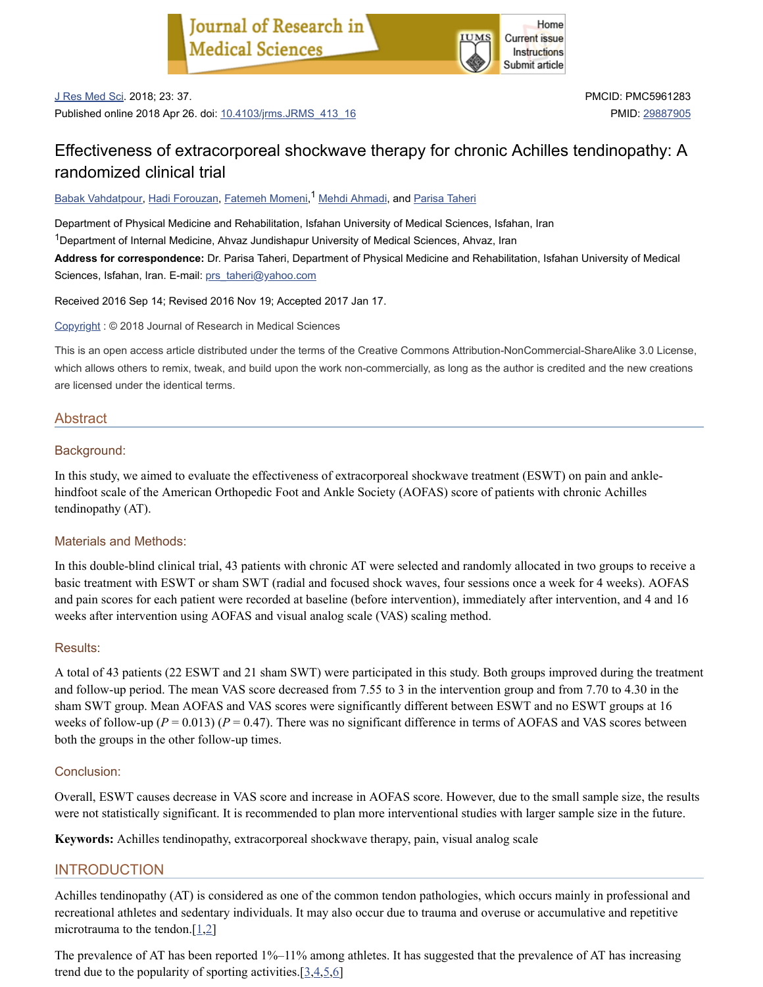

J Res Med Sci. 2018; 23: 37.

Published online 2018 Apr 26. doi: [10.4103/jrms.JRMS\\_413\\_16](https://dx.doi.org/10.4103%2Fjrms.JRMS_413_16)

PMCID: PMC5961283 PMID: [29887905](https://www.ncbi.nlm.nih.gov/pubmed/29887905)

# Effectiveness of extracorporeal shockwave therapy for chronic Achilles tendinopathy: A randomized clinical trial

<u>Babak [Vahdatpour](https://www.ncbi.nlm.nih.gov/pubmed/?term=Vahdatpour%20B%5BAuthor%5D&cauthor=true&cauthor_uid=29887905), Hadi [Forouzan](https://www.ncbi.nlm.nih.gov/pubmed/?term=Forouzan%20H%5BAuthor%5D&cauthor=true&cauthor_uid=29887905), [Fatemeh](https://www.ncbi.nlm.nih.gov/pubmed/?term=Momeni%20F%5BAuthor%5D&cauthor=true&cauthor_uid=29887905) Momeni,<sup>1</sup> Mehdi [Ahmadi](https://www.ncbi.nlm.nih.gov/pubmed/?term=Ahmadi%20M%5BAuthor%5D&cauthor=true&cauthor_uid=29887905), and [Parisa](https://www.ncbi.nlm.nih.gov/pubmed/?term=Taheri%20P%5BAuthor%5D&cauthor=true&cauthor_uid=29887905) Taheri</u>

Department of Physical Medicine and Rehabilitation, Isfahan University of Medical Sciences, Isfahan, Iran  $1$ Department of Internal Medicine, Ahvaz Jundishapur University of Medical Sciences, Ahvaz, Iran **Address for correspondence:** Dr. Parisa Taheri, Department of Physical Medicine and Rehabilitation, Isfahan University of Medical Sciences, Isfahan, Iran. E-mail: [prs\\_taheri@yahoo.com](mailto:dev@null)

Received 2016 Sep 14; Revised 2016 Nov 19; Accepted 2017 Jan 17.

[Copyright](https://www.ncbi.nlm.nih.gov/pmc/about/copyright/) : © 2018 Journal of Research in Medical Sciences

This is an open access article distributed under the terms of the Creative Commons Attribution-NonCommercial-ShareAlike 3.0 License, which allows others to remix, tweak, and build upon the work non-commercially, as long as the author is credited and the new creations are licensed under the identical terms.

# Abstract

#### Background:

In this study, we aimed to evaluate the effectiveness of extracorporeal shockwave treatment (ESWT) on pain and anklehindfoot scale of the American Orthopedic Foot and Ankle Society (AOFAS) score of patients with chronic Achilles tendinopathy (AT).

# Materials and Methods:

In this double-blind clinical trial, 43 patients with chronic AT were selected and randomly allocated in two groups to receive a basic treatment with ESWT or sham SWT (radial and focused shock waves, four sessions once a week for 4 weeks). AOFAS and pain scores for each patient were recorded at baseline (before intervention), immediately after intervention, and 4 and 16 weeks after intervention using AOFAS and visual analog scale (VAS) scaling method.

#### Results:

A total of 43 patients (22 ESWT and 21 sham SWT) were participated in this study. Both groups improved during the treatment and follow-up period. The mean VAS score decreased from 7.55 to 3 in the intervention group and from 7.70 to 4.30 in the sham SWT group. Mean AOFAS and VAS scores were significantly different between ESWT and no ESWT groups at 16 weeks of follow-up ( $P = 0.013$ ) ( $P = 0.47$ ). There was no significant difference in terms of AOFAS and VAS scores between both the groups in the other follow-up times.

# Conclusion:

Overall, ESWT causes decrease in VAS score and increase in AOFAS score. However, due to the small sample size, the results were not statistically significant. It is recommended to plan more interventional studies with larger sample size in the future.

**Keywords:** Achilles tendinopathy, extracorporeal shockwave therapy, pain, visual analog scale

# INTRODUCTION

Achilles tendinopathy (AT) is considered as one of the common tendon pathologies, which occurs mainly in professional and recreational athletes and sedentary individuals. It may also occur due to trauma and overuse or accumulative and repetitive microtrauma to the tendon. $[1,2]$  $[1,2]$  $[1,2]$ 

The prevalence of AT has been reported 1%–11% among athletes. It has suggested that the prevalence of AT has increasing trend due to the popularity of sporting activities. $[3,4,5,6]$  $[3,4,5,6]$  $[3,4,5,6]$  $[3,4,5,6]$  $[3,4,5,6]$  $[3,4,5,6]$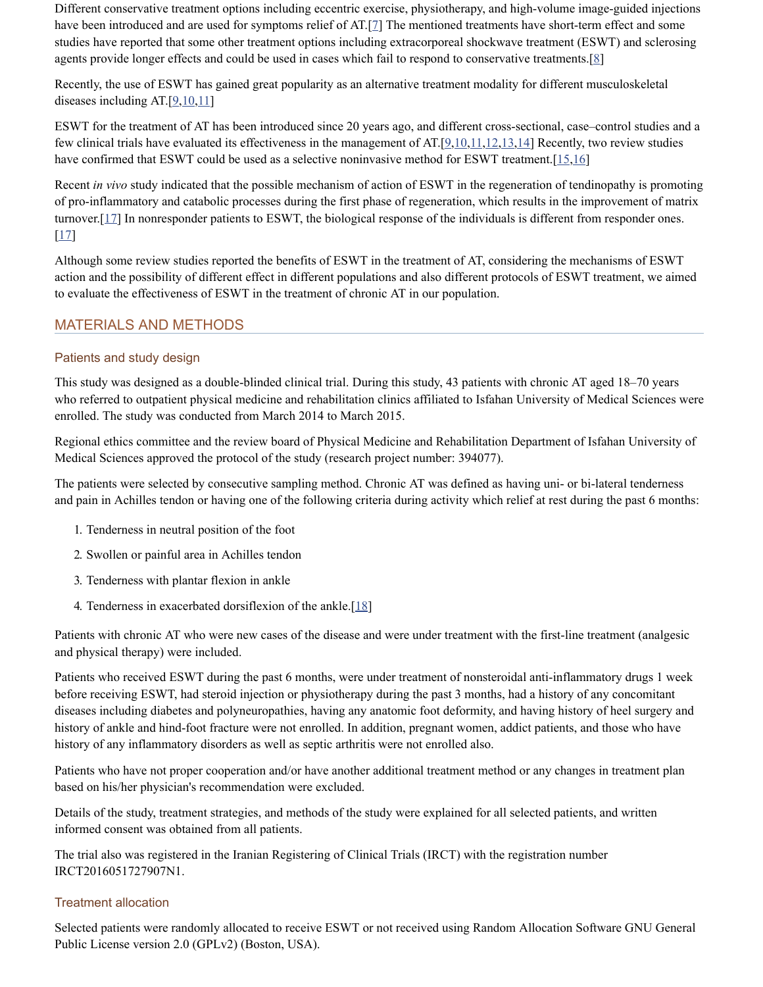Different conservative treatment options including eccentric exercise, physiotherapy, and high-volume image-guided injections have been introduced and are used for symptoms relief of AT.[[7\]](#page-6-6) The mentioned treatments have short-term effect and some studies have reported that some other treatment options including extracorporeal shockwave treatment (ESWT) and sclerosing agents provide longer effects and could be used in cases which fail to respond to conservative treatments.[\[8](#page-6-7)]

Recently, the use of ESWT has gained great popularity as an alternative treatment modality for different musculoskeletal diseases including AT. $[9,10,11]$  $[9,10,11]$  $[9,10,11]$  $[9,10,11]$ 

ESWT for the treatment of AT has been introduced since 20 years ago, and different cross-sectional, case–control studies and a few clinical trials have evaluated its effectiveness in the management of  $AT[9,10,11,12,13,14]$  $AT[9,10,11,12,13,14]$  $AT[9,10,11,12,13,14]$  $AT[9,10,11,12,13,14]$  $AT[9,10,11,12,13,14]$  $AT[9,10,11,12,13,14]$  $AT[9,10,11,12,13,14]$  $AT[9,10,11,12,13,14]$  $AT[9,10,11,12,13,14]$  $AT[9,10,11,12,13,14]$  Recently, two review studies have confirmed that ESWT could be used as a selective noninvasive method for ESWT treatment.  $[15,16]$  $[15,16]$  $[15,16]$  $[15,16]$  $[15,16]$ 

Recent *in vivo* study indicated that the possible mechanism of action of ESWT in the regeneration of tendinopathy is promoting of pro-inflammatory and catabolic processes during the first phase of regeneration, which results in the improvement of matrix turnover. $[17]$  $[17]$  In nonresponder patients to ESWT, the biological response of the individuals is different from responder ones.  $[17]$  $[17]$ 

Although some review studies reported the benefits of ESWT in the treatment of AT, considering the mechanisms of ESWT action and the possibility of different effect in different populations and also different protocols of ESWT treatment, we aimed to evaluate the effectiveness of ESWT in the treatment of chronic AT in our population.

# MATERIALS AND METHODS

# Patients and study design

This study was designed as a double-blinded clinical trial. During this study, 43 patients with chronic AT aged 18–70 years who referred to outpatient physical medicine and rehabilitation clinics affiliated to Isfahan University of Medical Sciences were enrolled. The study was conducted from March 2014 to March 2015.

Regional ethics committee and the review board of Physical Medicine and Rehabilitation Department of Isfahan University of Medical Sciences approved the protocol of the study (research project number: 394077).

The patients were selected by consecutive sampling method. Chronic AT was defined as having uni- or bi-lateral tenderness and pain in Achilles tendon or having one of the following criteria during activity which relief at rest during the past 6 months:

- 1. Tenderness in neutral position of the foot
- 2. Swollen or painful area in Achilles tendon
- 3. Tenderness with plantar flexion in ankle
- 4. Tenderness in exacerbated dorsiflexion of the ankle. $[18]$  $[18]$

Patients with chronic AT who were new cases of the disease and were under treatment with the first-line treatment (analgesic and physical therapy) were included.

Patients who received ESWT during the past 6 months, were under treatment of nonsteroidal anti-inflammatory drugs 1 week before receiving ESWT, had steroid injection or physiotherapy during the past 3 months, had a history of any concomitant diseases including diabetes and polyneuropathies, having any anatomic foot deformity, and having history of heel surgery and history of ankle and hind-foot fracture were not enrolled. In addition, pregnant women, addict patients, and those who have history of any inflammatory disorders as well as septic arthritis were not enrolled also.

Patients who have not proper cooperation and/or have another additional treatment method or any changes in treatment plan based on his/her physician's recommendation were excluded.

Details of the study, treatment strategies, and methods of the study were explained for all selected patients, and written informed consent was obtained from all patients.

The trial also was registered in the Iranian Registering of Clinical Trials (IRCT) with the registration number IRCT2016051727907N1.

#### Treatment allocation

Selected patients were randomly allocated to receive ESWT or not received using Random Allocation Software GNU General Public License version 2.0 (GPLv2) (Boston, USA).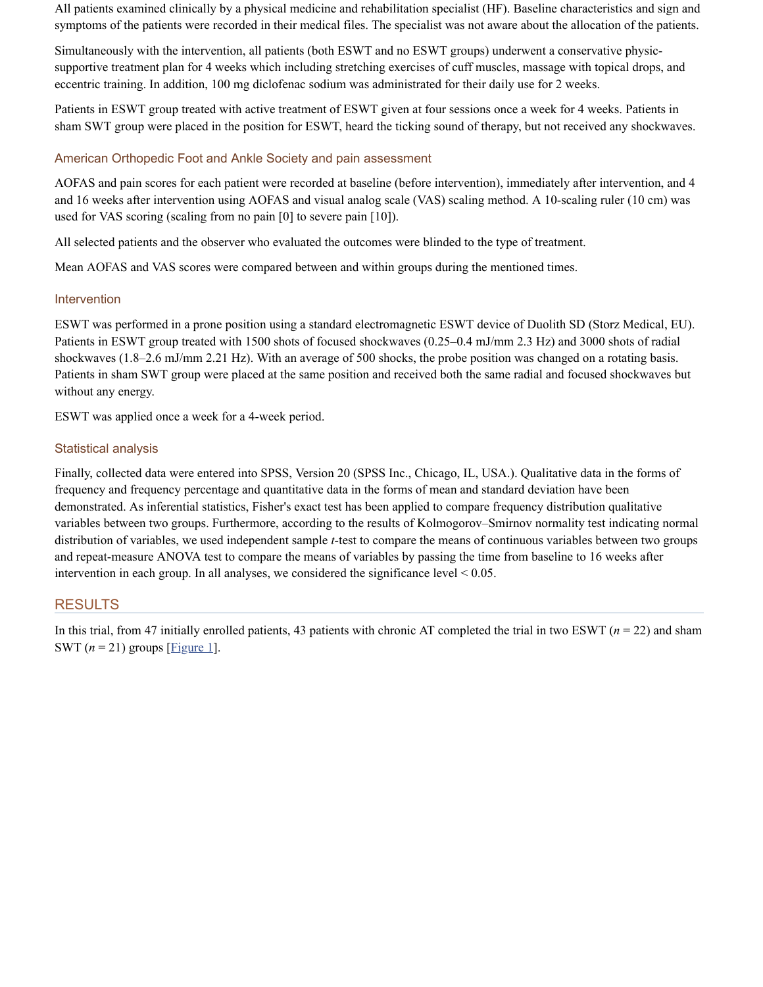All patients examined clinically by a physical medicine and rehabilitation specialist (HF). Baseline characteristics and sign and symptoms of the patients were recorded in their medical files. The specialist was not aware about the allocation of the patients.

Simultaneously with the intervention, all patients (both ESWT and no ESWT groups) underwent a conservative physicsupportive treatment plan for 4 weeks which including stretching exercises of cuff muscles, massage with topical drops, and eccentric training. In addition, 100 mg diclofenac sodium was administrated for their daily use for 2 weeks.

Patients in ESWT group treated with active treatment of ESWT given at four sessions once a week for 4 weeks. Patients in sham SWT group were placed in the position for ESWT, heard the ticking sound of therapy, but not received any shockwaves.

# American Orthopedic Foot and Ankle Society and pain assessment

AOFAS and pain scores for each patient were recorded at baseline (before intervention), immediately after intervention, and 4 and 16 weeks after intervention using AOFAS and visual analog scale (VAS) scaling method. A 10-scaling ruler (10 cm) was used for VAS scoring (scaling from no pain [0] to severe pain [10]).

All selected patients and the observer who evaluated the outcomes were blinded to the type of treatment.

Mean AOFAS and VAS scores were compared between and within groups during the mentioned times.

#### Intervention

ESWT was performed in a prone position using a standard electromagnetic ESWT device of Duolith SD (Storz Medical, EU). Patients in ESWT group treated with 1500 shots of focused shockwaves (0.25–0.4 mJ/mm 2.3 Hz) and 3000 shots of radial shockwaves (1.8–2.6 mJ/mm 2.21 Hz). With an average of 500 shocks, the probe position was changed on a rotating basis. Patients in sham SWT group were placed at the same position and received both the same radial and focused shockwaves but without any energy.

ESWT was applied once a week for a 4-week period.

#### Statistical analysis

Finally, collected data were entered into SPSS, Version 20 (SPSS Inc., Chicago, IL, USA.). Qualitative data in the forms of frequency and frequency percentage and quantitative data in the forms of mean and standard deviation have been demonstrated. As inferential statistics, Fisher's exact test has been applied to compare frequency distribution qualitative variables between two groups. Furthermore, according to the results of Kolmogorov–Smirnov normality test indicating normal distribution of variables, we used independent sample *t*-test to compare the means of continuous variables between two groups and repeat-measure ANOVA test to compare the means of variables by passing the time from baseline to 16 weeks after intervention in each group. In all analyses, we considered the significance level  $\leq 0.05$ .

# RESULTS

In this trial, from 47 initially enrolled patients, 43 patients with chronic AT completed the trial in two ESWT ( $n = 22$ ) and sham SWT  $(n = 21)$  groups [\[Figure](https://www.ncbi.nlm.nih.gov/pmc/articles/PMC5961283/figure/F1/) 1].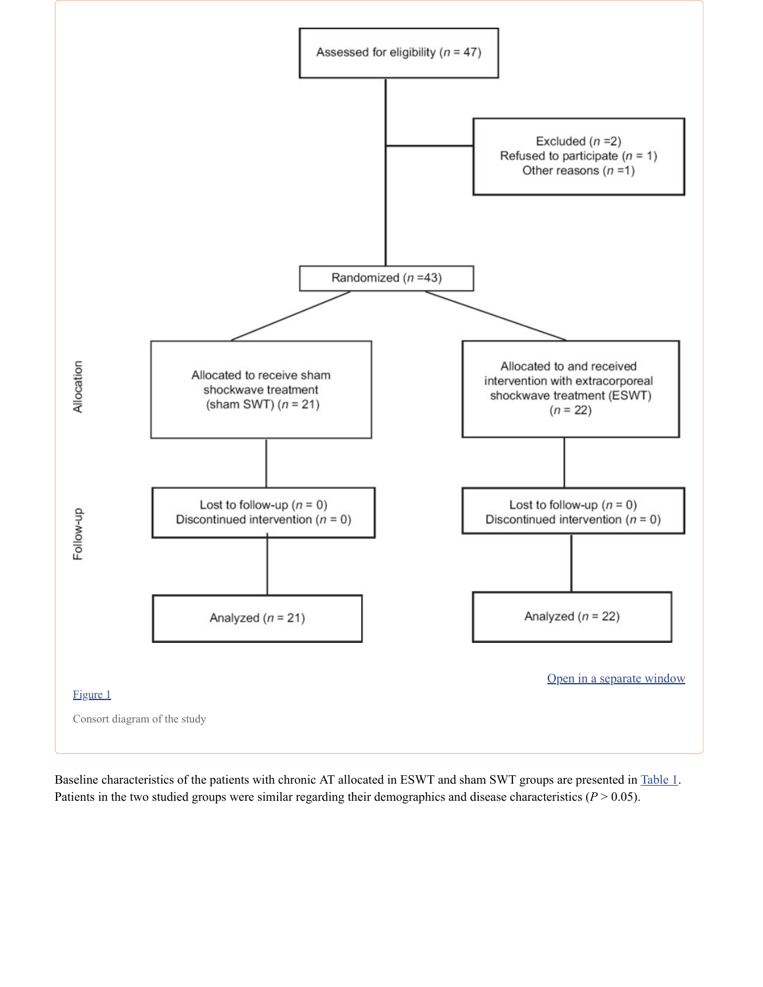

Baseline characteristics of the patients with chronic AT allocated in ESWT and sham SWT groups are presented in [Table](https://www.ncbi.nlm.nih.gov/pmc/articles/PMC5961283/table/T1/) 1. Patients in the two studied groups were similar regarding their demographics and disease characteristics  $(P > 0.05)$ .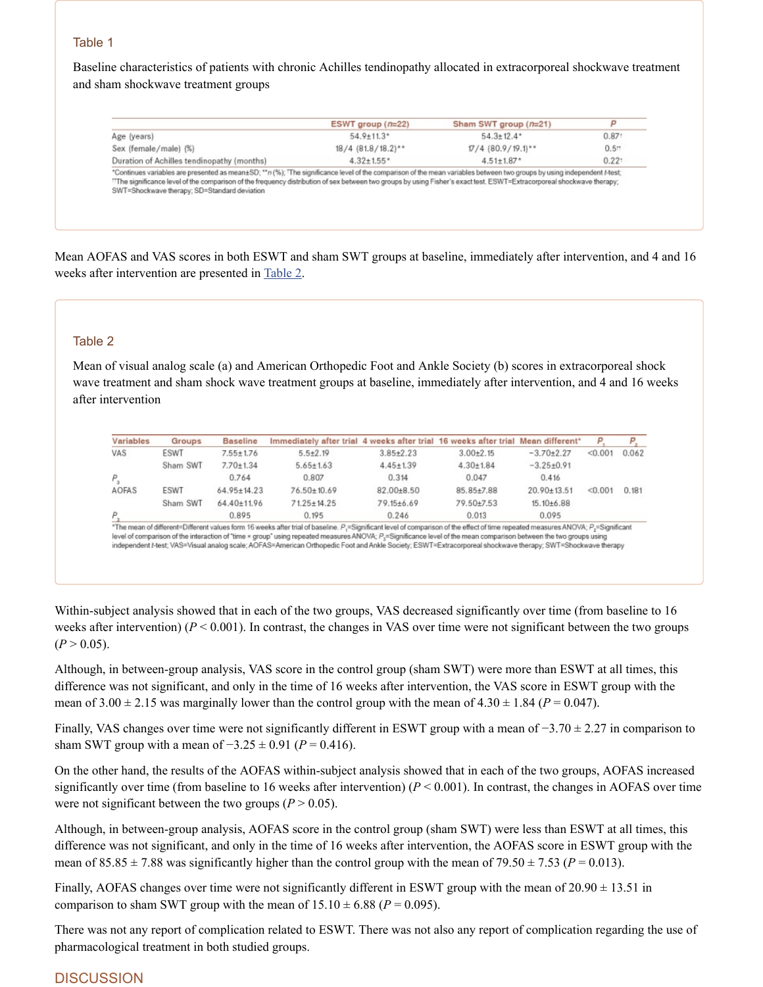# Table 1

Baseline characteristics of patients with chronic Achilles tendinopathy allocated in extracorporeal shockwave treatment and sham shockwave treatment groups

| $54.9 \pm 11.3$ *<br>$54.3 \pm 12.4$ *<br>0.87 <sup>1</sup><br>$18/4$ (81.8/18.2) <sup>**</sup><br>$17/4$ (80.9/19.1)**<br>$0.5+$<br>0.221<br>$4.32 \pm 1.55$ *<br>Duration of Achilles tendinopathy (months)<br>$4.51 \pm 1.87$ *<br>*Continues variables are presented as mean±SD; ** n (%); 'The significance level of the comparison of the mean variables between two groups by using independent f-test;<br>"The significance level of the comparison of the frequency distribution of sex between two groups by using Fisher's exact test. ESWT=Extracorporeal shockwave therapy; |                       | ESWT group $(n=22)$ | Sham SWT group $(n=21)$ | P |
|------------------------------------------------------------------------------------------------------------------------------------------------------------------------------------------------------------------------------------------------------------------------------------------------------------------------------------------------------------------------------------------------------------------------------------------------------------------------------------------------------------------------------------------------------------------------------------------|-----------------------|---------------------|-------------------------|---|
|                                                                                                                                                                                                                                                                                                                                                                                                                                                                                                                                                                                          | Age (years)           |                     |                         |   |
|                                                                                                                                                                                                                                                                                                                                                                                                                                                                                                                                                                                          | Sex (female/male) (%) |                     |                         |   |
|                                                                                                                                                                                                                                                                                                                                                                                                                                                                                                                                                                                          |                       |                     |                         |   |
|                                                                                                                                                                                                                                                                                                                                                                                                                                                                                                                                                                                          |                       |                     |                         |   |

Mean AOFAS and VAS scores in both ESWT and sham SWT groups at baseline, immediately after intervention, and 4 and 16 weeks after intervention are presented in [Table](https://www.ncbi.nlm.nih.gov/pmc/articles/PMC5961283/table/T2/) 2.

#### Table 2

Mean of visual analog scale (a) and American Orthopedic Foot and Ankle Society (b) scores in extracorporeal shock wave treatment and sham shock wave treatment groups at baseline, immediately after intervention, and 4 and 16 weeks after intervention

| Variables | Groups   | <b>Baseline</b>   | Immediately after trial 4 weeks after trial 16 weeks after trial Mean different* |                 |                 |                   | P       |       |
|-----------|----------|-------------------|----------------------------------------------------------------------------------|-----------------|-----------------|-------------------|---------|-------|
| VAS       | ESWT     | $7.55 \pm 1.76$   | $5.5 \pm 2.19$                                                                   | $3.85 + 2.23$   | $3.00 + 2.15$   | $-3.70+2.27$      | < 0.001 | 0.062 |
|           | Sham SWT | $7.70 \pm 1.34$   | $5.65 \pm 1.63$                                                                  | $4.45 \pm 1.39$ | $4.30 \pm 1.84$ | $-3.25+0.91$      |         |       |
|           |          | 0.764             | 0.807                                                                            | 0.314           | 0.047           | 0.416             |         |       |
| AOFAS     | ESWT     | $64.95 \pm 14.23$ | 76.50±10.69                                                                      | 82.00±8.50      | 85.85±7.88      | $20.90 \pm 13.51$ | < 0.001 | 0.181 |
|           | Sham SWT | 64.40±11.96       | $71.25 \pm 14.25$                                                                | 79.15±6.69      | 79.50±7.53      | $15.10+6.88$      |         |       |
|           |          | 0.895             | 0.195                                                                            | 0.246           | 0.013           | 0.095             |         |       |

Within-subject analysis showed that in each of the two groups, VAS decreased significantly over time (from baseline to 16 weeks after intervention)  $(P < 0.001)$ . In contrast, the changes in VAS over time were not significant between the two groups  $(P > 0.05)$ .

Although, in between-group analysis, VAS score in the control group (sham SWT) were more than ESWT at all times, this difference was not significant, and only in the time of 16 weeks after intervention, the VAS score in ESWT group with the mean of  $3.00 \pm 2.15$  was marginally lower than the control group with the mean of  $4.30 \pm 1.84$  ( $P = 0.047$ ).

Finally, VAS changes over time were not significantly different in ESWT group with a mean of −3.70 ± 2.27 in comparison to sham SWT group with a mean of  $-3.25 \pm 0.91$  (*P* = 0.416).

On the other hand, the results of the AOFAS within-subject analysis showed that in each of the two groups, AOFAS increased significantly over time (from baseline to 16 weeks after intervention)  $(P < 0.001)$ . In contrast, the changes in AOFAS over time were not significant between the two groups  $(P > 0.05)$ .

Although, in between-group analysis, AOFAS score in the control group (sham SWT) were less than ESWT at all times, this difference was not significant, and only in the time of 16 weeks after intervention, the AOFAS score in ESWT group with the mean of  $85.85 \pm 7.88$  was significantly higher than the control group with the mean of  $79.50 \pm 7.53$  ( $P = 0.013$ ).

Finally, AOFAS changes over time were not significantly different in ESWT group with the mean of 20.90  $\pm$  13.51 in comparison to sham SWT group with the mean of  $15.10 \pm 6.88$  ( $P = 0.095$ ).

There was not any report of complication related to ESWT. There was not also any report of complication regarding the use of pharmacological treatment in both studied groups.

# **DISCUSSION**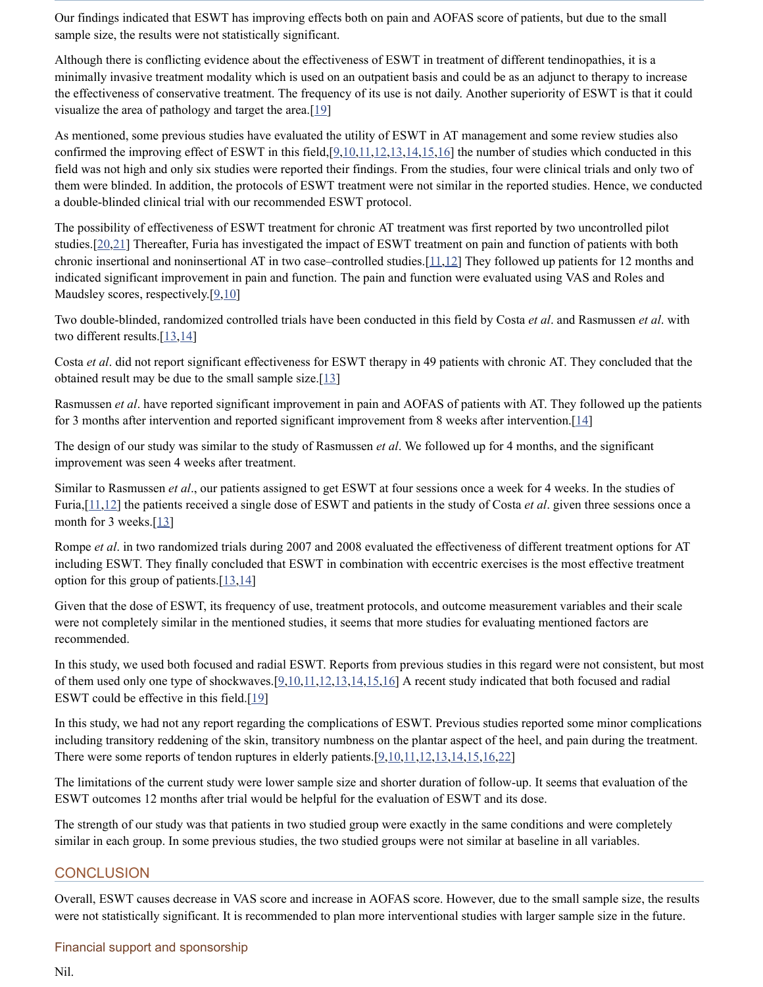Our findings indicated that ESWT has improving effects both on pain and AOFAS score of patients, but due to the small sample size, the results were not statistically significant.

Although there is conflicting evidence about the effectiveness of ESWT in treatment of different tendinopathies, it is a minimally invasive treatment modality which is used on an outpatient basis and could be as an adjunct to therapy to increase the effectiveness of conservative treatment. The frequency of its use is not daily. Another superiority of ESWT is that it could visualize the area of pathology and target the area. $[19]$ 

As mentioned, some previous studies have evaluated the utility of ESWT in AT management and some review studies also confirmed the improving effect of ESWT in this field, $[9,10,11,12,13,14,15,16]$  $[9,10,11,12,13,14,15,16]$  $[9,10,11,12,13,14,15,16]$  $[9,10,11,12,13,14,15,16]$  $[9,10,11,12,13,14,15,16]$  $[9,10,11,12,13,14,15,16]$  $[9,10,11,12,13,14,15,16]$  $[9,10,11,12,13,14,15,16]$  $[9,10,11,12,13,14,15,16]$  $[9,10,11,12,13,14,15,16]$  $[9,10,11,12,13,14,15,16]$  the number of studies which conducted in this field was not high and only six studies were reported their findings. From the studies, four were clinical trials and only two of them were blinded. In addition, the protocols of ESWT treatment were not similar in the reported studies. Hence, we conducted a double-blinded clinical trial with our recommended ESWT protocol.

The possibility of effectiveness of ESWT treatment for chronic AT treatment was first reported by two uncontrolled pilot studies.[\[20,](#page-6-19)[21](#page-6-20)] Thereafter, Furia has investigated the impact of ESWT treatment on pain and function of patients with both chronic insertional and noninsertional AT in two case–controlled studies. $[11,12]$  $[11,12]$  $[11,12]$  $[11,12]$  They followed up patients for 12 months and indicated significant improvement in pain and function. The pain and function were evaluated using VAS and Roles and Maudsley scores, respectively. $[9,10]$  $[9,10]$  $[9,10]$ 

Two double-blinded, randomized controlled trials have been conducted in this field by Costa *et al*. and Rasmussen *et al*. with two different results.[[13,](#page-6-12)[14\]](#page-6-13)

Costa *et al*. did not report significant effectiveness for ESWT therapy in 49 patients with chronic AT. They concluded that the obtained result may be due to the small sample size. $[13]$ 

Rasmussen *et al*. have reported significant improvement in pain and AOFAS of patients with AT. They followed up the patients for 3 months after intervention and reported significant improvement from 8 weeks after intervention. [\[14](#page-6-13)]

The design of our study was similar to the study of Rasmussen *et al*. We followed up for 4 months, and the significant improvement was seen 4 weeks after treatment.

Similar to Rasmussen *et al*., our patients assigned to get ESWT at four sessions once a week for 4 weeks. In the studies of Furia,[\[11](#page-6-10),[12\]](#page-6-11) the patients received a single dose of ESWT and patients in the study of Costa *et al*. given three sessions once a month for 3 weeks.[[13](#page-6-12)]

Rompe *et al*. in two randomized trials during 2007 and 2008 evaluated the effectiveness of different treatment options for AT including ESWT. They finally concluded that ESWT in combination with eccentric exercises is the most effective treatment option for this group of patients. $[13,14]$  $[13,14]$  $[13,14]$  $[13,14]$ 

Given that the dose of ESWT, its frequency of use, treatment protocols, and outcome measurement variables and their scale were not completely similar in the mentioned studies, it seems that more studies for evaluating mentioned factors are recommended.

In this study, we used both focused and radial ESWT. Reports from previous studies in this regard were not consistent, but most of them used only one type of shockwaves. $[9,10,11,12,13,14,15,16]$  $[9,10,11,12,13,14,15,16]$  $[9,10,11,12,13,14,15,16]$  $[9,10,11,12,13,14,15,16]$  $[9,10,11,12,13,14,15,16]$  $[9,10,11,12,13,14,15,16]$  $[9,10,11,12,13,14,15,16]$  $[9,10,11,12,13,14,15,16]$  $[9,10,11,12,13,14,15,16]$  $[9,10,11,12,13,14,15,16]$  $[9,10,11,12,13,14,15,16]$  $[9,10,11,12,13,14,15,16]$  A recent study indicated that both focused and radial ESWT could be effective in this field.[[19](#page-6-18)]

In this study, we had not any report regarding the complications of ESWT. Previous studies reported some minor complications including transitory reddening of the skin, transitory numbness on the plantar aspect of the heel, and pain during the treatment. There were some reports of tendon ruptures in elderly patients.[\[9](#page-6-8)[,10](#page-6-9)[,11,](#page-6-10)[12,](#page-6-11)[13,](#page-6-12)[14](#page-6-13),[15,](#page-6-14)[16,](#page-6-15)[22\]](#page-7-0)

The limitations of the current study were lower sample size and shorter duration of follow-up. It seems that evaluation of the ESWT outcomes 12 months after trial would be helpful for the evaluation of ESWT and its dose.

The strength of our study was that patients in two studied group were exactly in the same conditions and were completely similar in each group. In some previous studies, the two studied groups were not similar at baseline in all variables.

# **CONCLUSION**

Overall, ESWT causes decrease in VAS score and increase in AOFAS score. However, due to the small sample size, the results were not statistically significant. It is recommended to plan more interventional studies with larger sample size in the future.

# Financial support and sponsorship

Nil.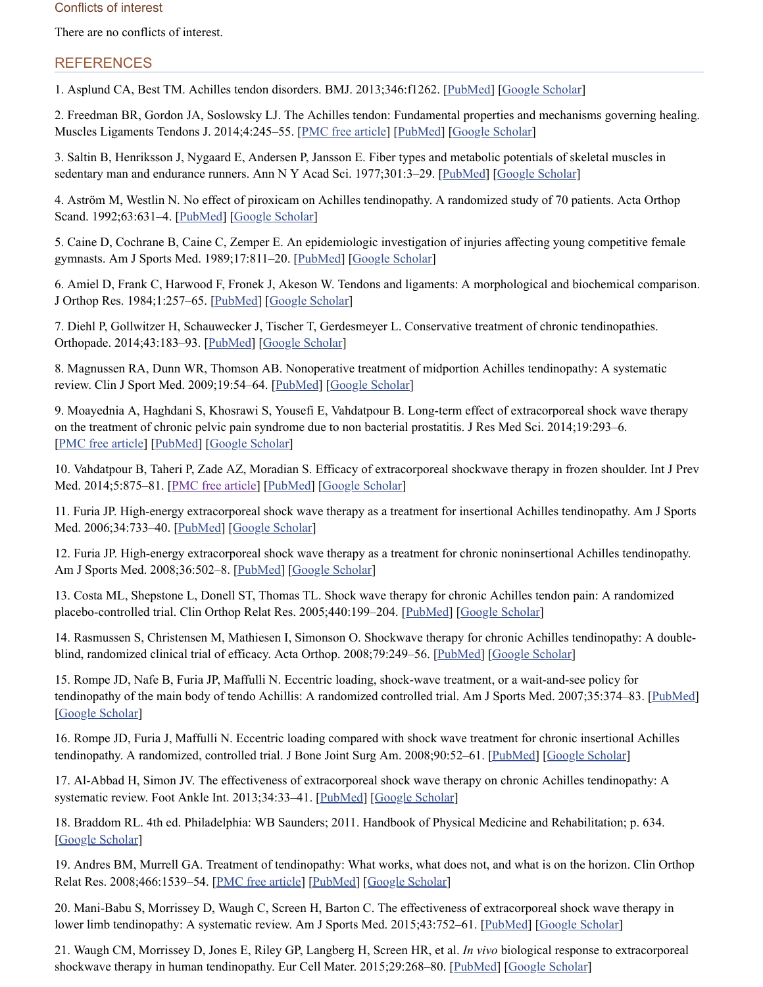#### Conflicts of interest

There are no conflicts of interest.

# **REFERENCES**

<span id="page-6-0"></span>1. Asplund CA, Best TM. Achilles tendon disorders. BMJ. 2013;346:f1262. [[PubMed\]](https://www.ncbi.nlm.nih.gov/pubmed/23482943) [Google [Scholar\]](https://scholar.google.com/scholar_lookup?journal=BMJ&title=Achilles+tendon+disorders&author=CA+Asplund&author=TM+Best&volume=346&publication_year=2013&pages=f1262&pmid=23482943&)

<span id="page-6-1"></span>2. Freedman BR, Gordon JA, Soslowsky LJ. The Achilles tendon: Fundamental properties and mechanisms governing healing. Muscles Ligaments Tendons J. 2014;4:245–55. [PMC free [article](https://www.ncbi.nlm.nih.gov/pmc/articles/PMC4187594/)] [\[PubMed\]](https://www.ncbi.nlm.nih.gov/pubmed/25332943) [Google [Scholar\]](https://scholar.google.com/scholar_lookup?journal=Muscles+Ligaments+Tendons+J&title=The+Achilles+tendon:+Fundamental+properties+and+mechanisms+governing+healing&author=BR+Freedman&author=JA+Gordon&author=LJ+Soslowsky&volume=4&publication_year=2014&pages=245-55&pmid=25332943&)

<span id="page-6-2"></span>3. Saltin B, Henriksson J, Nygaard E, Andersen P, Jansson E. Fiber types and metabolic potentials of skeletal muscles in sedentary man and endurance runners. Ann N Y Acad Sci. 1977;301:3–29. [\[PubMed\]](https://www.ncbi.nlm.nih.gov/pubmed/73362) [Google [Scholar\]](https://scholar.google.com/scholar_lookup?journal=Ann+N+Y+Acad+Sci&title=Fiber+types+and+metabolic+potentials+of+skeletal+muscles+in+sedentary+man+and+endurance+runners&author=B+Saltin&author=J+Henriksson&author=E+Nygaard&author=P+Andersen&author=E+Jansson&volume=301&publication_year=1977&pages=3-29&pmid=73362&)

<span id="page-6-3"></span>4. Aström M, Westlin N. No effect of piroxicam on Achilles tendinopathy. A randomized study of 70 patients. Acta Orthop Scand. 1992;63:631–4. [\[PubMed](https://www.ncbi.nlm.nih.gov/pubmed/1471511)] [Google [Scholar\]](https://scholar.google.com/scholar_lookup?journal=Acta+Orthop+Scand&title=No+effect+of+piroxicam+on+Achilles+tendinopathy.+A+randomized+study+of+70+patients&author=M+Astr%C3%B6m&author=N+Westlin&volume=63&publication_year=1992&pages=631-4&pmid=1471511&)

<span id="page-6-4"></span>5. Caine D, Cochrane B, Caine C, Zemper E. An epidemiologic investigation of injuries affecting young competitive female gymnasts. Am J Sports Med. 1989;17:811-20. [\[PubMed](https://www.ncbi.nlm.nih.gov/pubmed/2696378)] [Google [Scholar\]](https://scholar.google.com/scholar_lookup?journal=Am+J+Sports+Med&title=An+epidemiologic+investigation+of+injuries+affecting+young+competitive+female+gymnasts&author=D+Caine&author=B+Cochrane&author=C+Caine&author=E+Zemper&volume=17&publication_year=1989&pages=811-20&pmid=2696378&)

<span id="page-6-5"></span>6. Amiel D, Frank C, Harwood F, Fronek J, Akeson W. Tendons and ligaments: A morphological and biochemical comparison. J Orthop Res. 1984;1:257–65. [\[PubMed\]](https://www.ncbi.nlm.nih.gov/pubmed/6481509) [Google [Scholar\]](https://scholar.google.com/scholar_lookup?journal=J+Orthop+Res&title=Tendons+and+ligaments:+A+morphological+and+biochemical+comparison&author=D+Amiel&author=C+Frank&author=F+Harwood&author=J+Fronek&author=W+Akeson&volume=1&publication_year=1984&pages=257-65&pmid=6481509&)

<span id="page-6-6"></span>7. Diehl P, Gollwitzer H, Schauwecker J, Tischer T, Gerdesmeyer L. Conservative treatment of chronic tendinopathies. Orthopade. 2014;43:183-93. [\[PubMed\]](https://www.ncbi.nlm.nih.gov/pubmed/24464332) [Google [Scholar\]](https://scholar.google.com/scholar_lookup?journal=Orthopade&title=Conservative+treatment+of+chronic+tendinopathies&author=P+Diehl&author=H+Gollwitzer&author=J+Schauwecker&author=T+Tischer&author=L+Gerdesmeyer&volume=43&publication_year=2014&pages=183-93&pmid=24464332&)

<span id="page-6-7"></span>8. Magnussen RA, Dunn WR, Thomson AB. Nonoperative treatment of midportion Achilles tendinopathy: A systematic review. Clin J Sport Med. 2009;19:54–64. [\[PubMed\]](https://www.ncbi.nlm.nih.gov/pubmed/19124985) [Google [Scholar\]](https://scholar.google.com/scholar_lookup?journal=Clin+J+Sport+Med&title=Nonoperative+treatment+of+midportion+Achilles+tendinopathy:+A+systematic+review&author=RA+Magnussen&author=WR+Dunn&author=AB+Thomson&volume=19&publication_year=2009&pages=54-64&pmid=19124985&)

<span id="page-6-8"></span>9. Moayednia A, Haghdani S, Khosrawi S, Yousefi E, Vahdatpour B. Long-term effect of extracorporeal shock wave therapy on the treatment of chronic pelvic pain syndrome due to non bacterial prostatitis. J Res Med Sci. 2014;19:293–6. [PMC free [article](https://www.ncbi.nlm.nih.gov/pmc/articles/PMC4115342/)] [\[PubMed](https://www.ncbi.nlm.nih.gov/pubmed/25097599)] [Google [Scholar](https://scholar.google.com/scholar_lookup?journal=J+Res+Med+Sci&title=Long-term+effect+of+extracorporeal+shock+wave+therapy+on+the+treatment+of+chronic+pelvic+pain+syndrome+due+to+non+bacterial+prostatitis&author=A+Moayednia&author=S+Haghdani&author=S+Khosrawi&author=E+Yousefi&author=B+Vahdatpour&volume=19&publication_year=2014&pages=293-6&pmid=25097599&)]

<span id="page-6-9"></span>10. Vahdatpour B, Taheri P, Zade AZ, Moradian S. Efficacy of extracorporeal shockwave therapy in frozen shoulder. Int J Prev Med. 2014;5:875–81. [PMC free [article\]](https://www.ncbi.nlm.nih.gov/pmc/articles/PMC4124565/) [\[PubMed\]](https://www.ncbi.nlm.nih.gov/pubmed/25104999) [Google [Scholar\]](https://scholar.google.com/scholar_lookup?journal=Int+J+Prev+Med&title=Efficacy+of+extracorporeal+shockwave+therapy+in+frozen+shoulder&author=B+Vahdatpour&author=P+Taheri&author=AZ+Zade&author=S+Moradian&volume=5&publication_year=2014&pages=875-81&pmid=25104999&)

<span id="page-6-10"></span>11. Furia JP. High-energy extracorporeal shock wave therapy as a treatment for insertional Achilles tendinopathy. Am J Sports Med. 2006;34:733–40. [[PubMed](https://www.ncbi.nlm.nih.gov/pubmed/16627628)] [Google [Scholar\]](https://scholar.google.com/scholar_lookup?journal=Am+J+Sports+Med&title=High-energy+extracorporeal+shock+wave+therapy+as+a+treatment+for+insertional+Achilles+tendinopathy&author=JP+Furia&volume=34&publication_year=2006&pages=733-40&pmid=16627628&)

<span id="page-6-11"></span>12. Furia JP. High-energy extracorporeal shock wave therapy as a treatment for chronic noninsertional Achilles tendinopathy. Am J Sports Med. 2008;36:502–8. [[PubMed](https://www.ncbi.nlm.nih.gov/pubmed/18006678)] [Google [Scholar](https://scholar.google.com/scholar_lookup?journal=Am+J+Sports+Med&title=High-energy+extracorporeal+shock+wave+therapy+as+a+treatment+for+chronic+noninsertional+Achilles+tendinopathy&author=JP+Furia&volume=36&publication_year=2008&pages=502-8&pmid=18006678&)]

<span id="page-6-12"></span>13. Costa ML, Shepstone L, Donell ST, Thomas TL. Shock wave therapy for chronic Achilles tendon pain: A randomized placebo-controlled trial. Clin Orthop Relat Res. 2005;440:199–204. [[PubMed](https://www.ncbi.nlm.nih.gov/pubmed/16239807)] [Google [Scholar](https://scholar.google.com/scholar_lookup?journal=Clin+Orthop+Relat+Res&title=Shock+wave+therapy+for+chronic+Achilles+tendon+pain:+A+randomized+placebo-controlled+trial&author=ML+Costa&author=L+Shepstone&author=ST+Donell&author=TL+Thomas&volume=440&publication_year=2005&pages=199-204&pmid=16239807&)]

<span id="page-6-13"></span>14. Rasmussen S, Christensen M, Mathiesen I, Simonson O. Shockwave therapy for chronic Achilles tendinopathy: A double-blind, randomized clinical trial of efficacy. Acta Orthop. 2008;79:249–56. [\[PubMed\]](https://www.ncbi.nlm.nih.gov/pubmed/18484252) [Google [Scholar\]](https://scholar.google.com/scholar_lookup?journal=Acta+Orthop&title=Shockwave+therapy+for+chronic+Achilles+tendinopathy:+A+double-blind,+randomized+clinical+trial+of+efficacy&author=S+Rasmussen&author=M+Christensen&author=I+Mathiesen&author=O+Simonson&volume=79&publication_year=2008&pages=249-56&pmid=18484252&)

<span id="page-6-14"></span>15. Rompe JD, Nafe B, Furia JP, Maffulli N. Eccentric loading, shock-wave treatment, or a wait-and-see policy for tendinopathy of the main body of tendo Achillis: A randomized controlled trial. Am J Sports Med. 2007;35:374–83. [\[PubMed\]](https://www.ncbi.nlm.nih.gov/pubmed/17244902) [Google [Scholar\]](https://scholar.google.com/scholar_lookup?journal=Am+J+Sports+Med&title=Eccentric+loading,+shock-wave+treatment,+or+a+wait-and-see+policy+for+tendinopathy+of+the+main+body+of+tendo+Achillis:+A+randomized+controlled+trial&author=JD+Rompe&author=B+Nafe&author=JP+Furia&author=N+Maffulli&volume=35&publication_year=2007&pages=374-83&pmid=17244902&)

<span id="page-6-15"></span>16. Rompe JD, Furia J, Maffulli N. Eccentric loading compared with shock wave treatment for chronic insertional Achilles tendinopathy. A randomized, controlled trial. J Bone Joint Surg Am. 2008;90:52–61. [\[PubMed\]](https://www.ncbi.nlm.nih.gov/pubmed/18171957) [Google [Scholar\]](https://scholar.google.com/scholar_lookup?journal=J+Bone+Joint+Surg+Am&title=Eccentric+loading+compared+with+shock+wave+treatment+for+chronic+insertional+Achilles+tendinopathy.+A+randomized,+controlled+trial&author=JD+Rompe&author=J+Furia&author=N+Maffulli&volume=90&publication_year=2008&pages=52-61&)

<span id="page-6-16"></span>17. Al-Abbad H, Simon JV. The effectiveness of extracorporeal shock wave therapy on chronic Achilles tendinopathy: A systematic review. Foot Ankle Int. 2013;34:33-41. [[PubMed](https://www.ncbi.nlm.nih.gov/pubmed/23386759)] [Google [Scholar\]](https://scholar.google.com/scholar_lookup?journal=Foot+Ankle+Int&title=The+effectiveness+of+extracorporeal+shock+wave+therapy+on+chronic+Achilles+tendinopathy:+A+systematic+review&author=H+Al-Abbad&author=JV+Simon&volume=34&publication_year=2013&pages=33-41&pmid=23386759&)

<span id="page-6-17"></span>18. Braddom RL. 4th ed. Philadelphia: WB Saunders; 2011. Handbook of Physical Medicine and Rehabilitation; p. 634. [Google [Scholar\]](https://scholar.google.com/scholar?q=Braddom+RL+Handbook+of+Physical+Medicine+and+Rehabilitation+2011+4th+ed+Philadelphia+WB+Saunders+634+)

<span id="page-6-18"></span>19. Andres BM, Murrell GA. Treatment of tendinopathy: What works, what does not, and what is on the horizon. Clin Orthop Relat Res. 2008;466:1539–54. [PMC free [article\]](https://www.ncbi.nlm.nih.gov/pmc/articles/PMC2505250/) [\[PubMed\]](https://www.ncbi.nlm.nih.gov/pubmed/18446422) [Google [Scholar](https://scholar.google.com/scholar_lookup?journal=Clin+Orthop+Relat+Res&title=Treatment+of+tendinopathy:+What+works,+what+does+not,+and+what+is+on+the+horizon&author=BM+Andres&author=GA+Murrell&volume=466&publication_year=2008&pages=1539-54&pmid=18446422&)]

<span id="page-6-19"></span>20. Mani-Babu S, Morrissey D, Waugh C, Screen H, Barton C. The effectiveness of extracorporeal shock wave therapy in lower limb tendinopathy: A systematic review. Am J Sports Med. 2015;43:752-61. [\[PubMed\]](https://www.ncbi.nlm.nih.gov/pubmed/24817008) [Google [Scholar\]](https://scholar.google.com/scholar_lookup?journal=Am+J+Sports+Med&title=The+effectiveness+of+extracorporeal+shock+wave+therapy+in+lower+limb+tendinopathy:+A+systematic+review&author=S+Mani-Babu&author=D+Morrissey&author=C+Waugh&author=H+Screen&author=C+Barton&volume=43&publication_year=2015&pages=752-61&pmid=24817008&)

<span id="page-6-20"></span>21. Waugh CM, Morrissey D, Jones E, Riley GP, Langberg H, Screen HR, et al. *In vivo* biological response to extracorporeal shockwave therapy in human tendinopathy. Eur Cell Mater. 2015;29:268-80. [\[PubMed](https://www.ncbi.nlm.nih.gov/pubmed/25978115)] [Google [Scholar\]](https://scholar.google.com/scholar_lookup?journal=Eur+Cell+Mater&title=In+vivo+biological+response+to+extracorporeal+shockwave+therapy+in+human+tendinopathy&author=CM+Waugh&author=D+Morrissey&author=E+Jones&author=GP+Riley&author=H+Langberg&volume=29&publication_year=2015&pages=268-80&pmid=25978115&)